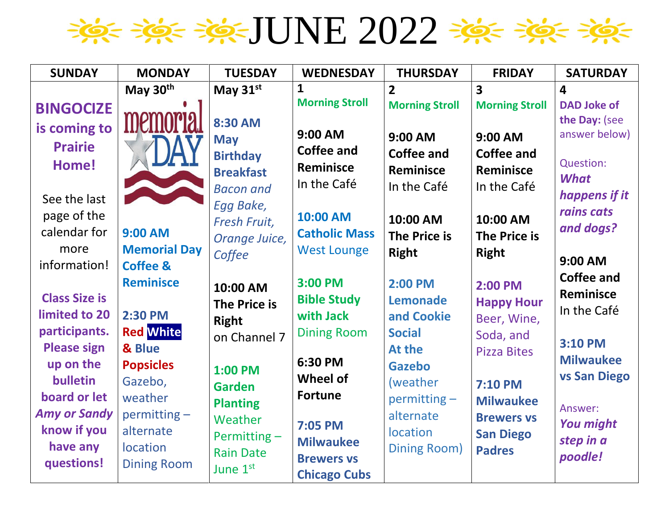$\Rightarrow$ 

| <b>SUNDAY</b>        | <b>MONDAY</b>       | <b>TUESDAY</b>      | <b>WEDNESDAY</b>      | <b>THURSDAY</b>       | <b>FRIDAY</b>           | <b>SATURDAY</b>         |
|----------------------|---------------------|---------------------|-----------------------|-----------------------|-------------------------|-------------------------|
|                      | May 30th            | May $31st$          | 1                     | $\overline{2}$        | $\overline{\mathbf{3}}$ | $\overline{\mathbf{4}}$ |
| <b>BINGOCIZE</b>     |                     |                     | <b>Morning Stroll</b> | <b>Morning Stroll</b> | <b>Morning Stroll</b>   | <b>DAD Joke of</b>      |
| is coming to         | memor               | 8:30 AM             |                       |                       |                         | the Day: (see           |
| <b>Prairie</b>       |                     | <b>May</b>          | 9:00 AM               | 9:00 AM               | 9:00 AM                 | answer below)           |
|                      |                     | <b>Birthday</b>     | <b>Coffee and</b>     | <b>Coffee and</b>     | <b>Coffee and</b>       | Question:               |
| Home!                |                     | <b>Breakfast</b>    | <b>Reminisce</b>      | <b>Reminisce</b>      | Reminisce               | <b>What</b>             |
|                      |                     | <b>Bacon and</b>    | In the Café           | In the Café           | In the Café             | happens if it           |
| See the last         |                     | Egg Bake,           |                       |                       |                         | rains cats              |
| page of the          |                     | Fresh Fruit,        | 10:00 AM              | 10:00 AM              | 10:00 AM                | and dogs?               |
| calendar for         | 9:00 AM             | Orange Juice,       | <b>Catholic Mass</b>  | <b>The Price is</b>   | <b>The Price is</b>     |                         |
| more                 | <b>Memorial Day</b> | Coffee              | <b>West Lounge</b>    | <b>Right</b>          | <b>Right</b>            | 9:00 AM                 |
| information!         | <b>Coffee &amp;</b> |                     |                       |                       |                         | <b>Coffee and</b>       |
|                      | <b>Reminisce</b>    | 10:00 AM            | 3:00 PM               | 2:00 PM               | 2:00 PM                 | <b>Reminisce</b>        |
| <b>Class Size is</b> |                     | <b>The Price is</b> | <b>Bible Study</b>    | <b>Lemonade</b>       | <b>Happy Hour</b>       | In the Café             |
| limited to 20        | <b>2:30 PM</b>      | <b>Right</b>        | with Jack             | and Cookie            | Beer, Wine,             |                         |
| participants.        | <b>Red White</b>    | on Channel 7        | <b>Dining Room</b>    | <b>Social</b>         | Soda, and               | 3:10 PM                 |
| <b>Please sign</b>   | & Blue              |                     | 6:30 PM               | At the                | <b>Pizza Bites</b>      | <b>Milwaukee</b>        |
| up on the            | <b>Popsicles</b>    | <b>1:00 PM</b>      | <b>Wheel of</b>       | <b>Gazebo</b>         |                         | <b>vs San Diego</b>     |
| bulletin             | Gazebo,             | <b>Garden</b>       |                       | (weather              | <b>7:10 PM</b>          |                         |
| board or let         | weather             | <b>Planting</b>     | <b>Fortune</b>        | $permitting -$        | <b>Milwaukee</b>        | Answer:                 |
| <b>Amy or Sandy</b>  | permitting -        | Weather             | 7:05 PM               | alternate             | <b>Brewers vs</b>       | <b>You might</b>        |
| know if you          | alternate           | Permitting $-$      | <b>Milwaukee</b>      | location              | <b>San Diego</b>        | step in a               |
| have any             | <b>location</b>     | <b>Rain Date</b>    | <b>Brewers vs</b>     | <b>Dining Room)</b>   | <b>Padres</b>           | poodle!                 |
| questions!           | <b>Dining Room</b>  | June 1st            | <b>Chicago Cubs</b>   |                       |                         |                         |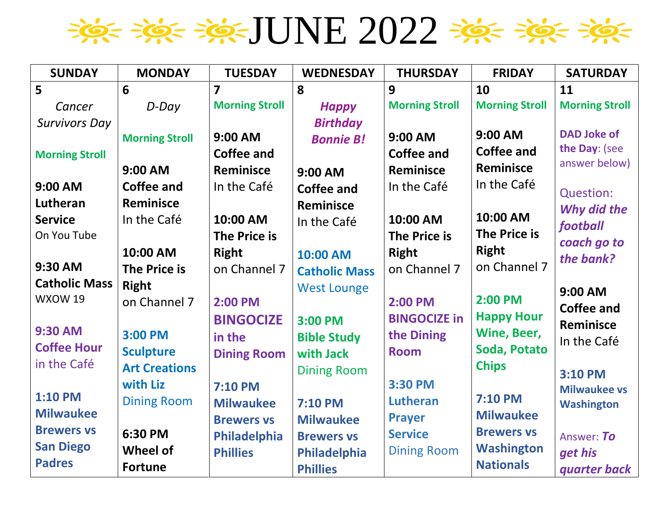

| <b>SUNDAY</b>         | <b>MONDAY</b>         | <b>TUESDAY</b>          | <b>WEDNESDAY</b>     | <b>THURSDAY</b>       | <b>FRIDAY</b>         | <b>SATURDAY</b>                |
|-----------------------|-----------------------|-------------------------|----------------------|-----------------------|-----------------------|--------------------------------|
| 5                     | 6                     | $\overline{\mathbf{z}}$ | 8                    | 9                     | 10                    | 11                             |
| Cancer                | D-Day                 | <b>Morning Stroll</b>   | <b>Happy</b>         | <b>Morning Stroll</b> | <b>Morning Stroll</b> | <b>Morning Stroll</b>          |
| <b>Survivors Day</b>  |                       |                         | <b>Birthday</b>      |                       |                       |                                |
|                       | <b>Morning Stroll</b> | 9:00 AM                 | <b>Bonnie B!</b>     | 9:00 AM               | 9:00 AM               | <b>DAD Joke of</b>             |
| <b>Morning Stroll</b> |                       | <b>Coffee and</b>       |                      | <b>Coffee and</b>     | <b>Coffee and</b>     | the Day: (see<br>answer below) |
|                       | 9:00 AM               | <b>Reminisce</b>        | 9:00 AM              | <b>Reminisce</b>      | <b>Reminisce</b>      |                                |
| 9:00 AM               | <b>Coffee and</b>     | In the Café             | <b>Coffee and</b>    | In the Café           | In the Café           | <b>Question:</b>               |
| Lutheran              | <b>Reminisce</b>      |                         | <b>Reminisce</b>     |                       |                       | Why did the                    |
| <b>Service</b>        | In the Café           | 10:00 AM                | In the Café          | 10:00 AM              | 10:00 AM              | football                       |
| On You Tube           |                       | <b>The Price is</b>     |                      | <b>The Price is</b>   | The Price is          | coach go to                    |
|                       | 10:00 AM              | <b>Right</b>            | 10:00 AM             | <b>Right</b>          | <b>Right</b>          | the bank?                      |
| 9:30 AM               | The Price is          | on Channel 7            | <b>Catholic Mass</b> | on Channel 7          | on Channel 7          |                                |
| <b>Catholic Mass</b>  | <b>Right</b>          |                         | <b>West Lounge</b>   |                       |                       | 9:00 AM                        |
| WXOW 19               | on Channel 7          | 2:00 PM                 |                      | 2:00 PM               | 2:00 PM               | <b>Coffee and</b>              |
|                       |                       | <b>BINGOCIZE</b>        | 3:00 PM              | <b>BINGOCIZE in</b>   | <b>Happy Hour</b>     | Reminisce                      |
| <b>9:30 AM</b>        | 3:00 PM               | in the                  | <b>Bible Study</b>   | the Dining            | Wine, Beer,           | In the Café                    |
| <b>Coffee Hour</b>    | <b>Sculpture</b>      | <b>Dining Room</b>      | with Jack            | <b>Room</b>           | Soda, Potato          |                                |
| in the Café           | <b>Art Creations</b>  |                         | <b>Dining Room</b>   |                       | <b>Chips</b>          | 3:10 PM                        |
|                       | with Liz              | <b>7:10 PM</b>          |                      | 3:30 PM               |                       | <b>Milwaukee vs</b>            |
| <b>1:10 PM</b>        | <b>Dining Room</b>    | <b>Milwaukee</b>        | <b>7:10 PM</b>       | Lutheran              | 7:10 PM               | <b>Washington</b>              |
| <b>Milwaukee</b>      |                       | <b>Brewers vs</b>       | <b>Milwaukee</b>     | <b>Prayer</b>         | <b>Milwaukee</b>      |                                |
| <b>Brewers vs</b>     | 6:30 PM               | Philadelphia            | <b>Brewers vs</b>    | <b>Service</b>        | <b>Brewers vs</b>     | Answer: To                     |
| <b>San Diego</b>      | <b>Wheel of</b>       | <b>Phillies</b>         | Philadelphia         | <b>Dining Room</b>    | <b>Washington</b>     | get his                        |
| <b>Padres</b>         | <b>Fortune</b>        |                         | <b>Phillies</b>      |                       | <b>Nationals</b>      | quarter back                   |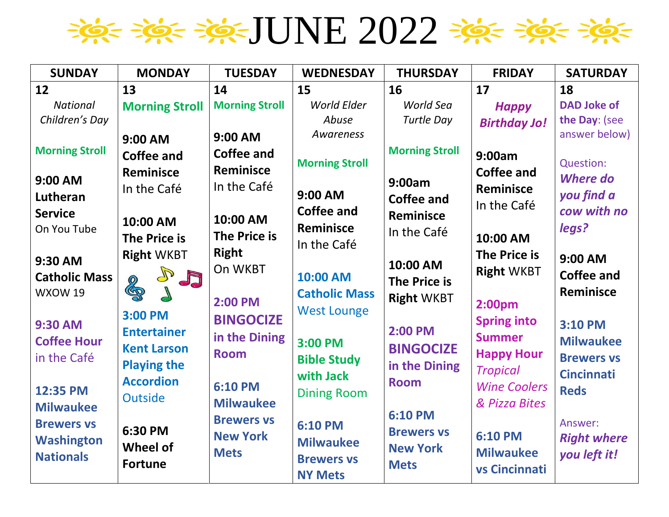

| <b>SUNDAY</b>                                                               | <b>MONDAY</b>                                                                                        | <b>TUESDAY</b>                                                                | <b>WEDNESDAY</b>                                                                       | <b>THURSDAY</b>                                                       | <b>FRIDAY</b>                                                                                 | <b>SATURDAY</b>                                                            |
|-----------------------------------------------------------------------------|------------------------------------------------------------------------------------------------------|-------------------------------------------------------------------------------|----------------------------------------------------------------------------------------|-----------------------------------------------------------------------|-----------------------------------------------------------------------------------------------|----------------------------------------------------------------------------|
| 12                                                                          | 13                                                                                                   | 14                                                                            | 15                                                                                     | 16                                                                    | 17                                                                                            | 18                                                                         |
| <b>National</b><br>Children's Day                                           | <b>Morning Stroll</b>                                                                                | <b>Morning Stroll</b>                                                         | <b>World Elder</b><br>Abuse                                                            | World Sea<br><b>Turtle Day</b>                                        | <b>Happy</b><br><b>Birthday Jo!</b>                                                           | <b>DAD Joke of</b><br>the Day: (see                                        |
| <b>Morning Stroll</b><br>9:00 AM<br>Lutheran<br><b>Service</b>              | 9:00 AM<br><b>Coffee and</b><br>Reminisce<br>In the Café<br>10:00 AM                                 | 9:00 AM<br><b>Coffee and</b><br><b>Reminisce</b><br>In the Café<br>10:00 AM   | Awareness<br><b>Morning Stroll</b><br>9:00 AM<br><b>Coffee and</b><br><b>Reminisce</b> | <b>Morning Stroll</b><br>9:00am<br><b>Coffee and</b><br>Reminisce     | 9:00am<br><b>Coffee and</b><br><b>Reminisce</b><br>In the Café                                | answer below)<br>Question:<br><b>Where do</b><br>you find a<br>cow with no |
| On You Tube<br>9:30 AM<br><b>Catholic Mass</b><br>WXOW 19<br><b>9:30 AM</b> | <b>The Price is</b><br><b>Right WKBT</b><br>$\mathbb{P}$<br>JJ<br>200<br>$\sqrt{}$<br>3:00 PM        | <b>The Price is</b><br><b>Right</b><br>On WKBT<br>2:00 PM<br><b>BINGOCIZE</b> | In the Café<br>10:00 AM<br><b>Catholic Mass</b><br><b>West Lounge</b>                  | In the Café<br>10:00 AM<br><b>The Price is</b><br><b>Right WKBT</b>   | 10:00 AM<br>The Price is<br><b>Right WKBT</b><br>2:00pm<br><b>Spring into</b>                 | legs?<br>9:00 AM<br><b>Coffee and</b><br>Reminisce<br>3:10 PM              |
| <b>Coffee Hour</b><br>in the Café<br>12:35 PM<br><b>Milwaukee</b>           | <b>Entertainer</b><br><b>Kent Larson</b><br><b>Playing the</b><br><b>Accordion</b><br><b>Outside</b> | in the Dining<br><b>Room</b><br><b>6:10 PM</b><br><b>Milwaukee</b>            | 3:00 PM<br><b>Bible Study</b><br>with Jack<br><b>Dining Room</b>                       | 2:00 PM<br><b>BINGOCIZE</b><br>in the Dining<br><b>Room</b>           | <b>Summer</b><br><b>Happy Hour</b><br><b>Tropical</b><br><b>Wine Coolers</b><br>& Pizza Bites | <b>Milwaukee</b><br><b>Brewers vs</b><br><b>Cincinnati</b><br><b>Reds</b>  |
| <b>Brewers vs</b><br><b>Washington</b><br><b>Nationals</b>                  | 6:30 PM<br><b>Wheel of</b><br><b>Fortune</b>                                                         | <b>Brewers vs</b><br><b>New York</b><br><b>Mets</b>                           | <b>6:10 PM</b><br><b>Milwaukee</b><br><b>Brewers vs</b><br><b>NY Mets</b>              | <b>6:10 PM</b><br><b>Brewers vs</b><br><b>New York</b><br><b>Mets</b> | <b>6:10 PM</b><br><b>Milwaukee</b><br>vs Cincinnati                                           | Answer:<br><b>Right where</b><br>you left it!                              |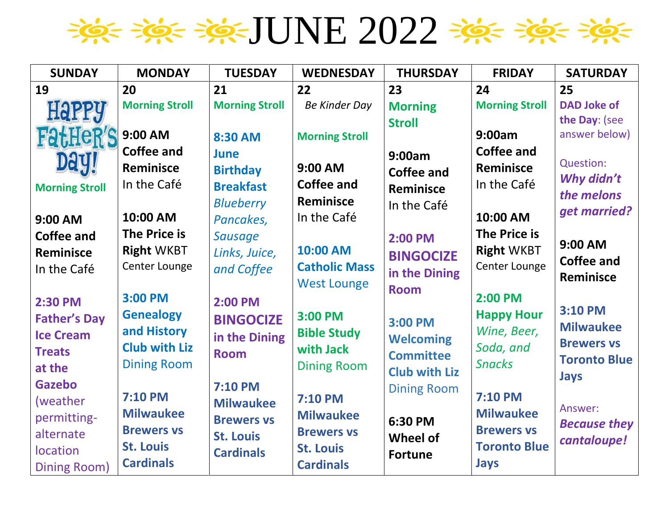

| <b>SUNDAY</b>         | <b>MONDAY</b>         | <b>TUESDAY</b>        | <b>WEDNESDAY</b>      | <b>THURSDAY</b>                      | <b>FRIDAY</b>         | <b>SATURDAY</b>     |
|-----------------------|-----------------------|-----------------------|-----------------------|--------------------------------------|-----------------------|---------------------|
| 19                    | 20                    | 21                    | 22                    | 23                                   | 24                    | 25                  |
| <b>Happy</b>          | <b>Morning Stroll</b> | <b>Morning Stroll</b> | <b>Be Kinder Day</b>  | <b>Morning</b>                       | <b>Morning Stroll</b> | <b>DAD Joke of</b>  |
|                       |                       |                       |                       | <b>Stroll</b>                        |                       | the Day: (see       |
| <b>FatHeR'S</b>       | 9:00 AM               | 8:30 AM               | <b>Morning Stroll</b> |                                      | 9:00am                | answer below)       |
| Daul                  | <b>Coffee and</b>     | June                  |                       | 9:00am                               | <b>Coffee and</b>     |                     |
|                       | <b>Reminisce</b>      | <b>Birthday</b>       | 9:00 AM               | <b>Coffee and</b>                    | Reminisce             | Question:           |
| <b>Morning Stroll</b> | In the Café           | <b>Breakfast</b>      | Coffee and            | Reminisce                            | In the Café           | Why didn't          |
|                       |                       | <b>Blueberry</b>      | <b>Reminisce</b>      | In the Café                          |                       | the melons          |
| 9:00 AM               | 10:00 AM              | Pancakes,             | In the Café           |                                      | 10:00 AM              | get married?        |
| <b>Coffee and</b>     | <b>The Price is</b>   | <b>Sausage</b>        |                       | 2:00 PM                              | <b>The Price is</b>   |                     |
| Reminisce             | <b>Right WKBT</b>     | Links, Juice,         | 10:00 AM              | <b>BINGOCIZE</b>                     | <b>Right WKBT</b>     | 9:00 AM             |
| In the Café           | Center Lounge         | and Coffee            | <b>Catholic Mass</b>  | in the Dining                        | Center Lounge         | <b>Coffee and</b>   |
|                       |                       |                       | <b>West Lounge</b>    | <b>Room</b>                          |                       | <b>Reminisce</b>    |
| 2:30 PM               | 3:00 PM               | 2:00 PM               |                       |                                      | 2:00 PM               |                     |
| <b>Father's Day</b>   | <b>Genealogy</b>      | <b>BINGOCIZE</b>      | 3:00 PM               | 3:00 PM                              | <b>Happy Hour</b>     | 3:10 PM             |
| <b>Ice Cream</b>      | and History           | in the Dining         | <b>Bible Study</b>    |                                      | Wine, Beer,           | <b>Milwaukee</b>    |
| <b>Treats</b>         | <b>Club with Liz</b>  | <b>Room</b>           | with Jack             | <b>Welcoming</b><br><b>Committee</b> | Soda, and             | <b>Brewers vs</b>   |
| at the                | <b>Dining Room</b>    |                       | <b>Dining Room</b>    |                                      | <b>Snacks</b>         | <b>Toronto Blue</b> |
| <b>Gazebo</b>         |                       | <b>7:10 PM</b>        |                       | <b>Club with Liz</b>                 |                       | <b>Jays</b>         |
| (weather              | <b>7:10 PM</b>        | <b>Milwaukee</b>      | <b>7:10 PM</b>        | <b>Dining Room</b>                   | <b>7:10 PM</b>        |                     |
| permitting-           | <b>Milwaukee</b>      | <b>Brewers vs</b>     | <b>Milwaukee</b>      |                                      | <b>Milwaukee</b>      | Answer:             |
| alternate             | <b>Brewers vs</b>     | <b>St. Louis</b>      | <b>Brewers vs</b>     | 6:30 PM                              | <b>Brewers vs</b>     | <b>Because they</b> |
| location              | <b>St. Louis</b>      |                       | <b>St. Louis</b>      | Wheel of                             | <b>Toronto Blue</b>   | cantaloupe!         |
| <b>Dining Room)</b>   | <b>Cardinals</b>      | <b>Cardinals</b>      | <b>Cardinals</b>      | <b>Fortune</b>                       | <b>Jays</b>           |                     |